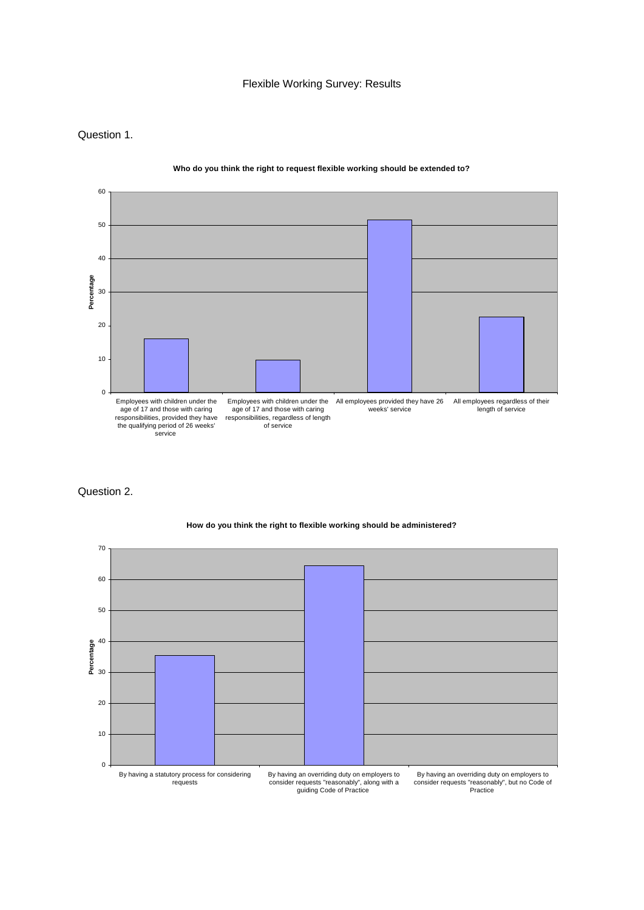## Flexible Working Survey: Results

### Question 1.



**Who do you think the right to request flexible working should be extended to?**

# Question 2.



### **How do you think the right to flexible working should be administered?**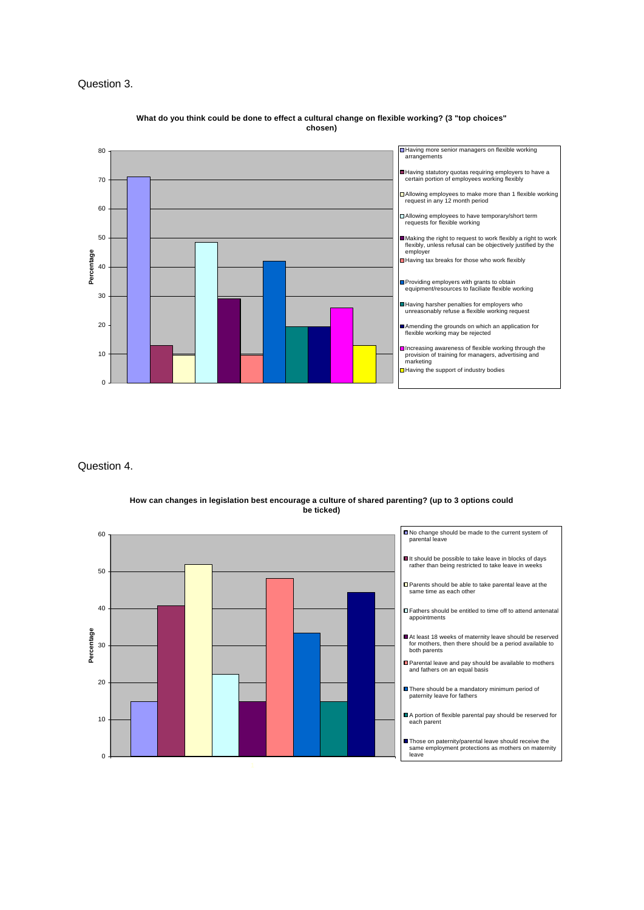## Question 3.



#### **What do you think could be done to effect a cultural change on flexible working? (3 "top choices" chosen)**

Question 4.

 $\Omega$ 

10

20

30

**Percentage**

Percentage

40



**How can changes in legislation best encourage a culture of shared parenting? (up to 3 options could be ticked)**



At least 18 weeks of maternity leave should be reserved for mothers, then there should be a period available to both parents

Parental leave and pay should be available to mothers and fathers on an equal basis

There should be a mandatory minimum period of paternity leave for fathers

A portion of flexible parental pay should be reserved for each parent

■Those on paternity/parental leave should receive the same employment protections as mothers on maternity leave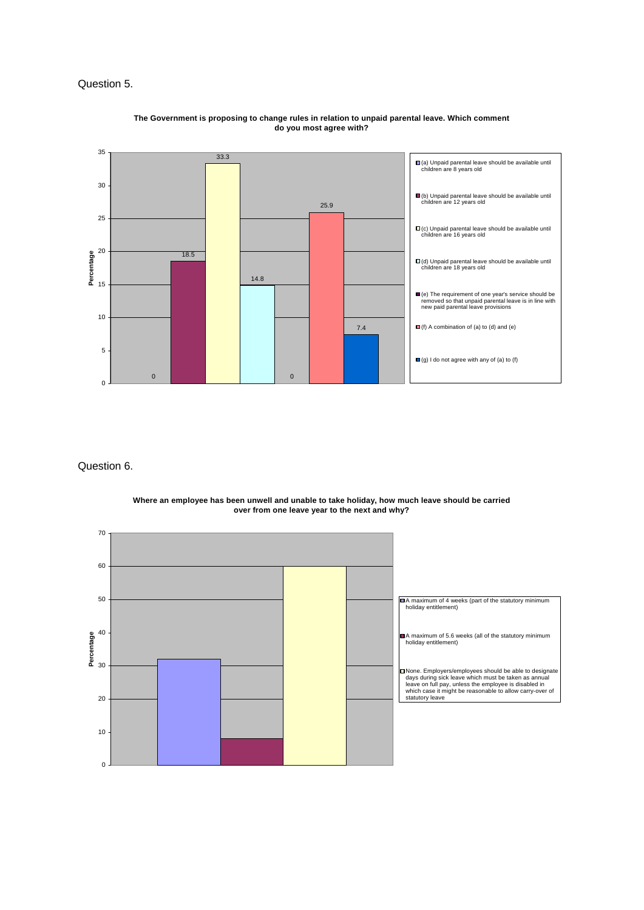## Question 5.



#### **The Government is proposing to change rules in relation to unpaid parental leave. Which comment do you most agree with?**

## Question 6.



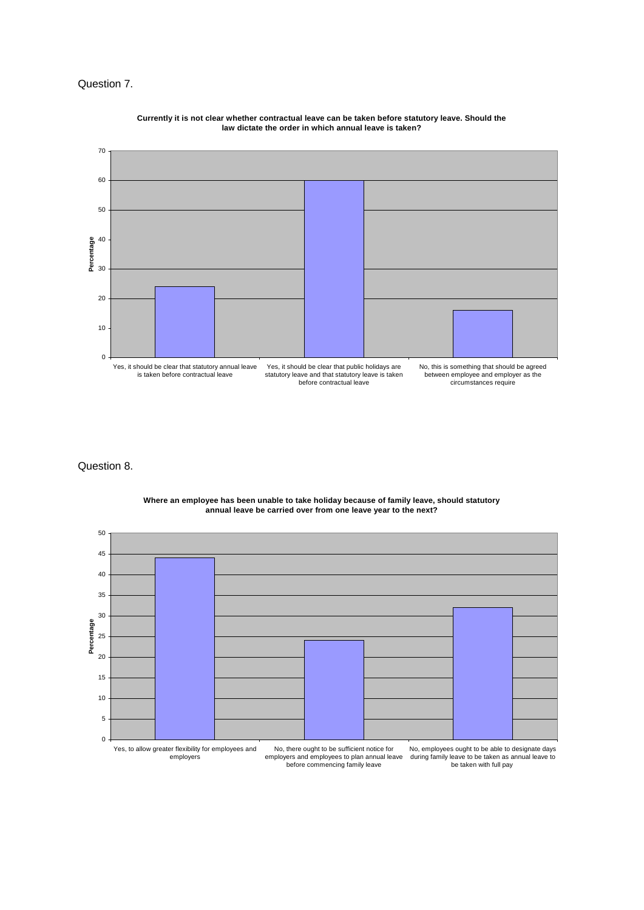### Question 7.



**Currently it is not clear whether contractual leave can be taken before statutory leave. Should the law dictate the order in which annual leave is taken?**

### Question 8.

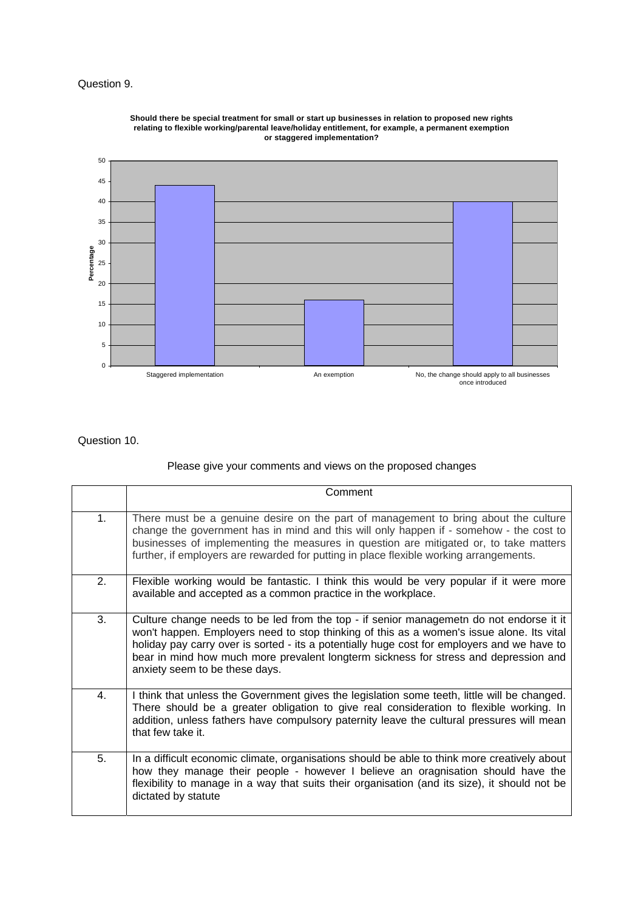# Question 9.



**Should there be special treatment for small or start up businesses in relation to proposed new rights relating to flexible working/parental leave/holiday entitlement, for example, a permanent exemption or staggered implementation?**

## Question 10.

# Please give your comments and views on the proposed changes

|                | Comment                                                                                                                                                                                                                                                                                                                                                                                                       |
|----------------|---------------------------------------------------------------------------------------------------------------------------------------------------------------------------------------------------------------------------------------------------------------------------------------------------------------------------------------------------------------------------------------------------------------|
| 1 <sub>1</sub> | There must be a genuine desire on the part of management to bring about the culture<br>change the government has in mind and this will only happen if - somehow - the cost to<br>businesses of implementing the measures in question are mitigated or, to take matters<br>further, if employers are rewarded for putting in place flexible working arrangements.                                              |
| 2.             | Flexible working would be fantastic. I think this would be very popular if it were more<br>available and accepted as a common practice in the workplace.                                                                                                                                                                                                                                                      |
| 3.             | Culture change needs to be led from the top - if senior managemetn do not endorse it it<br>won't happen. Employers need to stop thinking of this as a women's issue alone. Its vital<br>holiday pay carry over is sorted - its a potentially huge cost for employers and we have to<br>bear in mind how much more prevalent longterm sickness for stress and depression and<br>anxiety seem to be these days. |
| 4.             | I think that unless the Government gives the legislation some teeth, little will be changed.<br>There should be a greater obligation to give real consideration to flexible working. In<br>addition, unless fathers have compulsory paternity leave the cultural pressures will mean<br>that few take it.                                                                                                     |
| 5.             | In a difficult economic climate, organisations should be able to think more creatively about<br>how they manage their people - however I believe an oragnisation should have the<br>flexibility to manage in a way that suits their organisation (and its size), it should not be<br>dictated by statute                                                                                                      |